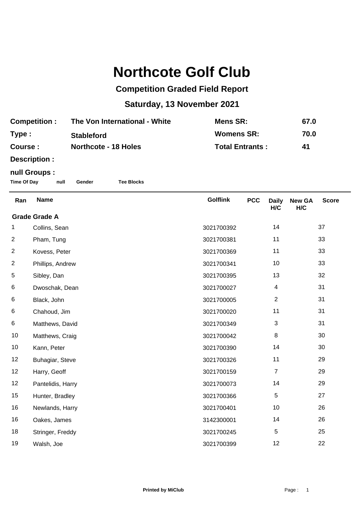## **Northcote Golf Club**

## **Competition Graded Field Report**

## **Saturday, 13 November 2021**

| <b>Competition:</b> | The Von International - White | Mens SR:               | 67.0 |
|---------------------|-------------------------------|------------------------|------|
| Type:               | <b>Stableford</b>             | <b>Womens SR:</b>      | 70.0 |
| Course :            | <b>Northcote - 18 Holes</b>   | <b>Total Entrants:</b> | 41   |

**Description :**

## **null Groups :**

**Time Of Day null Gender Tee Blocks**

| Ran                  | <b>Name</b>       | <b>Golflink</b> | <b>PCC</b> | <b>Daily</b><br>H/C | <b>New GA</b><br>H/C | <b>Score</b> |  |
|----------------------|-------------------|-----------------|------------|---------------------|----------------------|--------------|--|
| <b>Grade Grade A</b> |                   |                 |            |                     |                      |              |  |
| 1                    | Collins, Sean     | 3021700392      |            | 14                  |                      | 37           |  |
| $\overline{c}$       | Pham, Tung        | 3021700381      |            | 11                  |                      | 33           |  |
| $\overline{2}$       | Kovess, Peter     | 3021700369      |            | 11                  |                      | 33           |  |
| $\overline{2}$       | Phillips, Andrew  | 3021700341      |            | 10                  |                      | 33           |  |
| $\,$ 5 $\,$          | Sibley, Dan       | 3021700395      |            | 13                  |                      | 32           |  |
| 6                    | Dwoschak, Dean    | 3021700027      |            | 4                   |                      | 31           |  |
| 6                    | Black, John       | 3021700005      |            | $\overline{2}$      |                      | 31           |  |
| 6                    | Chahoud, Jim      | 3021700020      |            | 11                  |                      | 31           |  |
| 6                    | Matthews, David   | 3021700349      |            | 3                   |                      | 31           |  |
| 10                   | Matthews, Craig   | 3021700042      |            | $\,8\,$             |                      | 30           |  |
| 10                   | Kann, Peter       | 3021700390      |            | 14                  |                      | 30           |  |
| 12                   | Buhagiar, Steve   | 3021700326      |            | 11                  |                      | 29           |  |
| 12                   | Harry, Geoff      | 3021700159      |            | $\overline{7}$      |                      | 29           |  |
| 12                   | Pantelidis, Harry | 3021700073      |            | 14                  |                      | 29           |  |
| 15                   | Hunter, Bradley   | 3021700366      |            | 5                   |                      | 27           |  |
| 16                   | Newlands, Harry   | 3021700401      |            | 10                  |                      | 26           |  |
| 16                   | Oakes, James      | 3142300001      |            | 14                  |                      | 26           |  |
| 18                   | Stringer, Freddy  | 3021700245      |            | 5                   |                      | 25           |  |
| 19                   | Walsh, Joe        | 3021700399      |            | 12                  |                      | 22           |  |